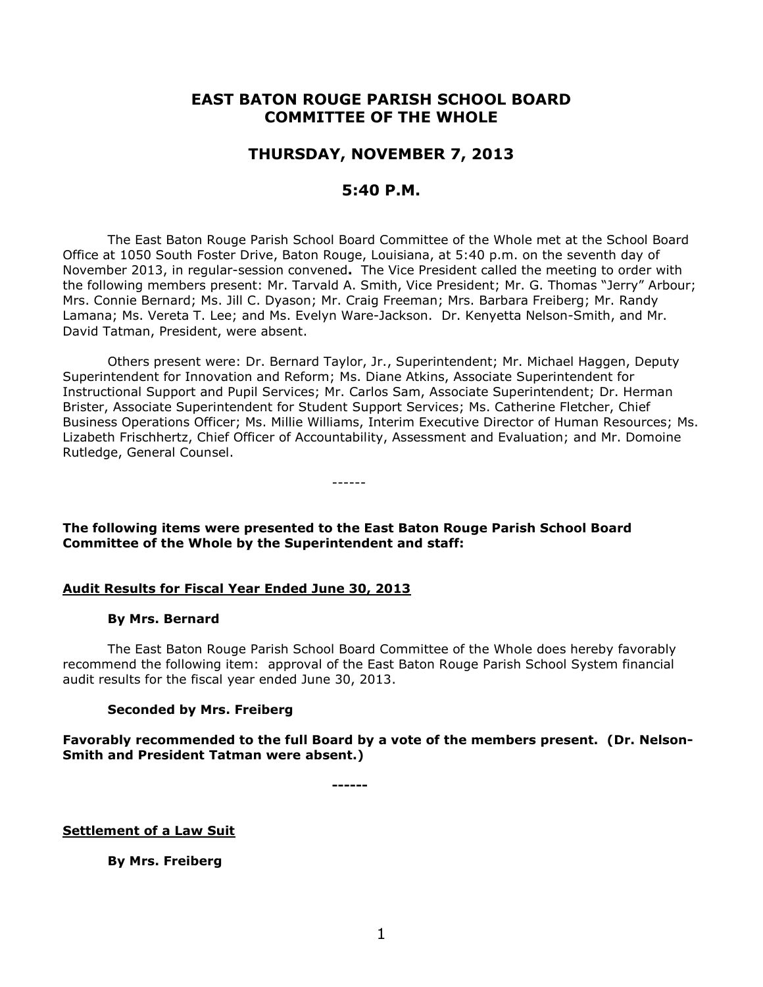# **EAST BATON ROUGE PARISH SCHOOL BOARD COMMITTEE OF THE WHOLE**

# **THURSDAY, NOVEMBER 7, 2013**

# **5:40 P.M.**

The East Baton Rouge Parish School Board Committee of the Whole met at the School Board Office at 1050 South Foster Drive, Baton Rouge, Louisiana, at 5:40 p.m. on the seventh day of November 2013, in regular-session convened**.** The Vice President called the meeting to order with the following members present: Mr. Tarvald A. Smith, Vice President; Mr. G. Thomas "Jerry" Arbour; Mrs. Connie Bernard; Ms. Jill C. Dyason; Mr. Craig Freeman; Mrs. Barbara Freiberg; Mr. Randy Lamana; Ms. Vereta T. Lee; and Ms. Evelyn Ware-Jackson. Dr. Kenyetta Nelson-Smith, and Mr. David Tatman, President, were absent.

Others present were: Dr. Bernard Taylor, Jr., Superintendent; Mr. Michael Haggen, Deputy Superintendent for Innovation and Reform; Ms. Diane Atkins, Associate Superintendent for Instructional Support and Pupil Services; Mr. Carlos Sam, Associate Superintendent; Dr. Herman Brister, Associate Superintendent for Student Support Services; Ms. Catherine Fletcher, Chief Business Operations Officer; Ms. Millie Williams, Interim Executive Director of Human Resources; Ms. Lizabeth Frischhertz, Chief Officer of Accountability, Assessment and Evaluation; and Mr. Domoine Rutledge, General Counsel.

**The following items were presented to the East Baton Rouge Parish School Board Committee of the Whole by the Superintendent and staff:**

------

## **Audit Results for Fiscal Year Ended June 30, 2013**

#### **By Mrs. Bernard**

The East Baton Rouge Parish School Board Committee of the Whole does hereby favorably recommend the following item: approval of the East Baton Rouge Parish School System financial audit results for the fiscal year ended June 30, 2013.

## **Seconded by Mrs. Freiberg**

**Favorably recommended to the full Board by a vote of the members present. (Dr. Nelson-Smith and President Tatman were absent.)**

**------**

**Settlement of a Law Suit**

**By Mrs. Freiberg**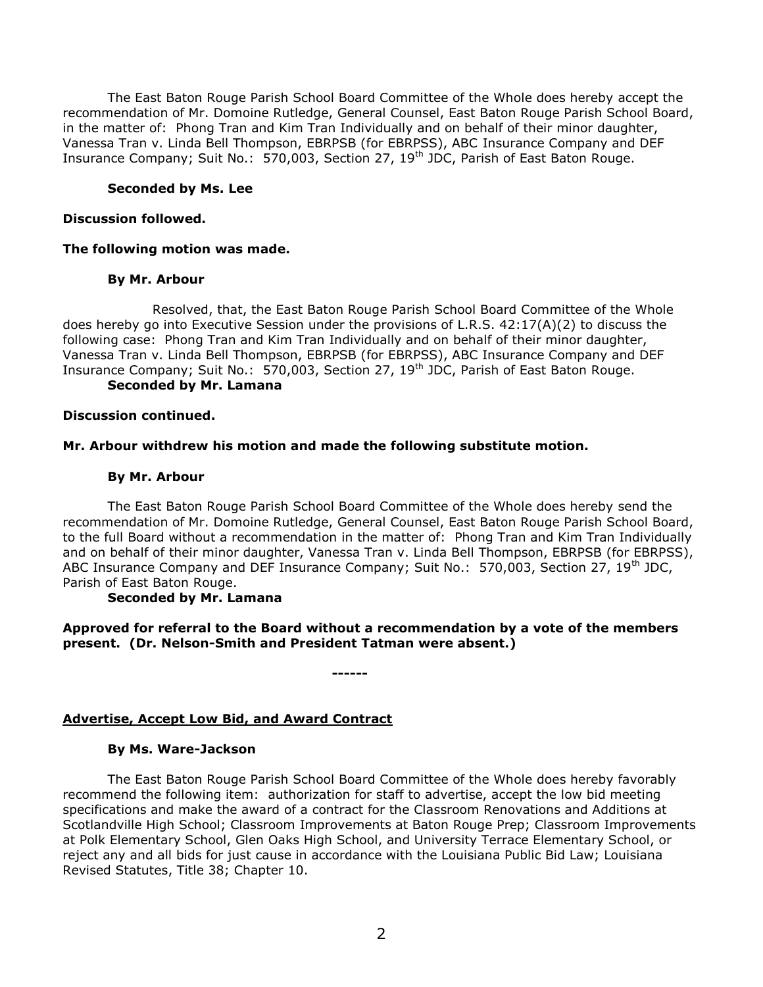The East Baton Rouge Parish School Board Committee of the Whole does hereby accept the recommendation of Mr. Domoine Rutledge, General Counsel, East Baton Rouge Parish School Board, in the matter of: Phong Tran and Kim Tran Individually and on behalf of their minor daughter, Vanessa Tran v. Linda Bell Thompson, EBRPSB (for EBRPSS), ABC Insurance Company and DEF Insurance Company; Suit No.: 570,003, Section 27, 19<sup>th</sup> JDC, Parish of East Baton Rouge.

## **Seconded by Ms. Lee**

## **Discussion followed.**

# **The following motion was made.**

## **By Mr. Arbour**

Resolved, that, the East Baton Rouge Parish School Board Committee of the Whole does hereby go into Executive Session under the provisions of L.R.S. 42:17(A)(2) to discuss the following case:Phong Tran and Kim Tran Individually and on behalf of their minor daughter, Vanessa Tran v. Linda Bell Thompson, EBRPSB (for EBRPSS), ABC Insurance Company and DEF Insurance Company; Suit No.: 570,003, Section 27, 19<sup>th</sup> JDC, Parish of East Baton Rouge.

# **Seconded by Mr. Lamana**

## **Discussion continued.**

# **Mr. Arbour withdrew his motion and made the following substitute motion.**

# **By Mr. Arbour**

The East Baton Rouge Parish School Board Committee of the Whole does hereby send the recommendation of Mr. Domoine Rutledge, General Counsel, East Baton Rouge Parish School Board, to the full Board without a recommendation in the matter of: Phong Tran and Kim Tran Individually and on behalf of their minor daughter, Vanessa Tran v. Linda Bell Thompson, EBRPSB (for EBRPSS), ABC Insurance Company and DEF Insurance Company; Suit No.: 570,003, Section 27, 19<sup>th</sup> JDC, Parish of East Baton Rouge.

## **Seconded by Mr. Lamana**

**Approved for referral to the Board without a recommendation by a vote of the members present. (Dr. Nelson-Smith and President Tatman were absent.)** 

**------**

# **Advertise, Accept Low Bid, and Award Contract**

## **By Ms. Ware-Jackson**

The East Baton Rouge Parish School Board Committee of the Whole does hereby favorably recommend the following item: authorization for staff to advertise, accept the low bid meeting specifications and make the award of a contract for the Classroom Renovations and Additions at Scotlandville High School; Classroom Improvements at Baton Rouge Prep; Classroom Improvements at Polk Elementary School, Glen Oaks High School, and University Terrace Elementary School, or reject any and all bids for just cause in accordance with the Louisiana Public Bid Law; Louisiana Revised Statutes, Title 38; Chapter 10.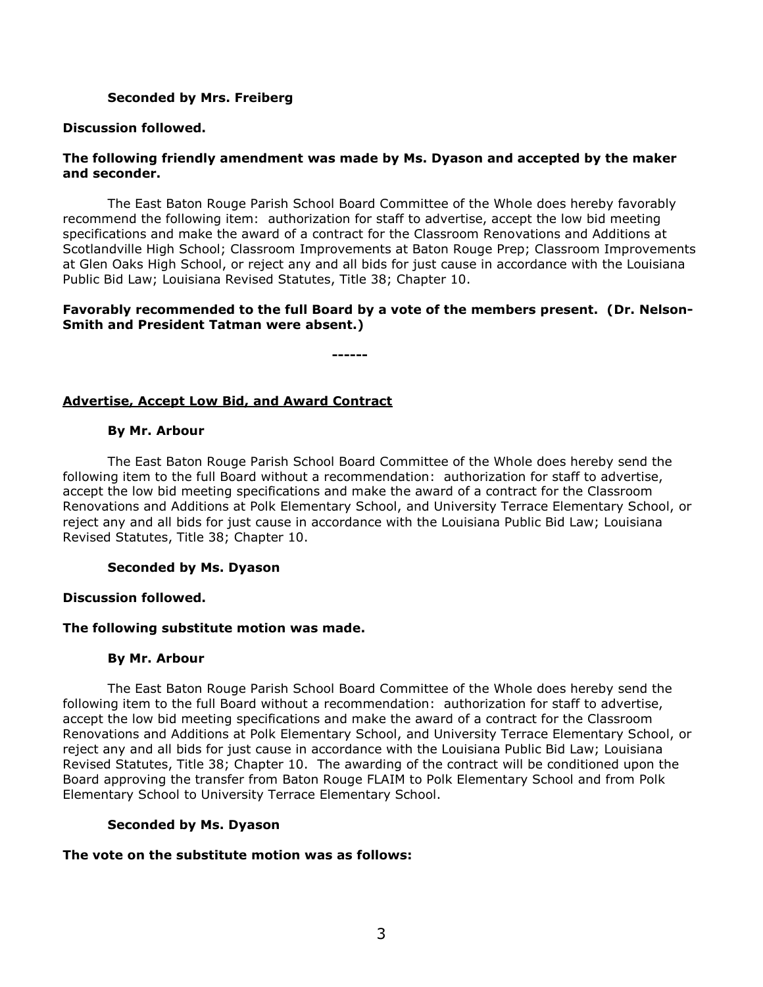## **Seconded by Mrs. Freiberg**

## **Discussion followed.**

## **The following friendly amendment was made by Ms. Dyason and accepted by the maker and seconder.**

The East Baton Rouge Parish School Board Committee of the Whole does hereby favorably recommend the following item: authorization for staff to advertise, accept the low bid meeting specifications and make the award of a contract for the Classroom Renovations and Additions at Scotlandville High School; Classroom Improvements at Baton Rouge Prep; Classroom Improvements at Glen Oaks High School, or reject any and all bids for just cause in accordance with the Louisiana Public Bid Law; Louisiana Revised Statutes, Title 38; Chapter 10.

# **Favorably recommended to the full Board by a vote of the members present. (Dr. Nelson-Smith and President Tatman were absent.)**

**------**

# **Advertise, Accept Low Bid, and Award Contract**

## **By Mr. Arbour**

The East Baton Rouge Parish School Board Committee of the Whole does hereby send the following item to the full Board without a recommendation: authorization for staff to advertise, accept the low bid meeting specifications and make the award of a contract for the Classroom Renovations and Additions at Polk Elementary School, and University Terrace Elementary School, or reject any and all bids for just cause in accordance with the Louisiana Public Bid Law; Louisiana Revised Statutes, Title 38; Chapter 10.

## **Seconded by Ms. Dyason**

## **Discussion followed.**

## **The following substitute motion was made.**

## **By Mr. Arbour**

The East Baton Rouge Parish School Board Committee of the Whole does hereby send the following item to the full Board without a recommendation: authorization for staff to advertise, accept the low bid meeting specifications and make the award of a contract for the Classroom Renovations and Additions at Polk Elementary School, and University Terrace Elementary School, or reject any and all bids for just cause in accordance with the Louisiana Public Bid Law; Louisiana Revised Statutes, Title 38; Chapter 10. The awarding of the contract will be conditioned upon the Board approving the transfer from Baton Rouge FLAIM to Polk Elementary School and from Polk Elementary School to University Terrace Elementary School.

## **Seconded by Ms. Dyason**

## **The vote on the substitute motion was as follows:**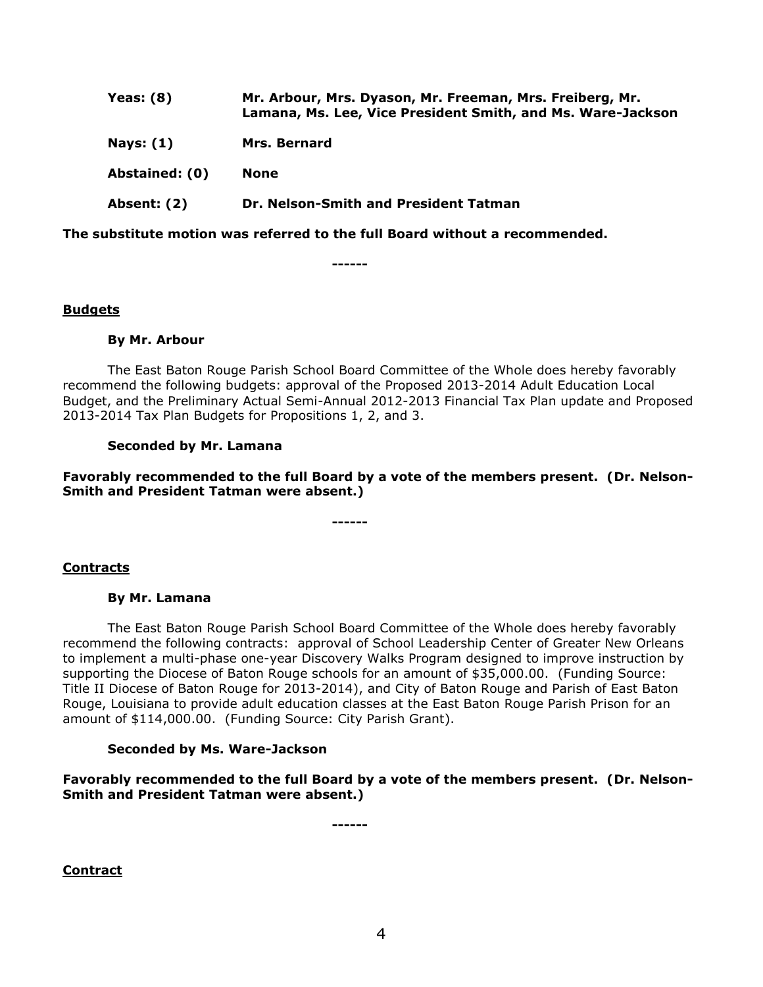| Yeas: $(8)$      | Mr. Arbour, Mrs. Dyason, Mr. Freeman, Mrs. Freiberg, Mr.<br>Lamana, Ms. Lee, Vice President Smith, and Ms. Ware-Jackson |
|------------------|-------------------------------------------------------------------------------------------------------------------------|
| <b>Nays: (1)</b> | <b>Mrs. Bernard</b>                                                                                                     |
| Abstained: (0)   | <b>None</b>                                                                                                             |
| Absent: (2)      | Dr. Nelson-Smith and President Tatman                                                                                   |

**The substitute motion was referred to the full Board without a recommended.**

**------**

## **Budgets**

#### **By Mr. Arbour**

The East Baton Rouge Parish School Board Committee of the Whole does hereby favorably recommend the following budgets: approval of the Proposed 2013-2014 Adult Education Local Budget, and the Preliminary Actual Semi-Annual 2012-2013 Financial Tax Plan update and Proposed 2013-2014 Tax Plan Budgets for Propositions 1, 2, and 3.

## **Seconded by Mr. Lamana**

**Favorably recommended to the full Board by a vote of the members present. (Dr. Nelson-Smith and President Tatman were absent.)**

**------**

## **Contracts**

#### **By Mr. Lamana**

The East Baton Rouge Parish School Board Committee of the Whole does hereby favorably recommend the following contracts: approval of School Leadership Center of Greater New Orleans to implement a multi-phase one-year Discovery Walks Program designed to improve instruction by supporting the Diocese of Baton Rouge schools for an amount of \$35,000.00. (Funding Source: Title II Diocese of Baton Rouge for 2013-2014), and City of Baton Rouge and Parish of East Baton Rouge, Louisiana to provide adult education classes at the East Baton Rouge Parish Prison for an amount of \$114,000.00. (Funding Source: City Parish Grant).

#### **Seconded by Ms. Ware-Jackson**

**Favorably recommended to the full Board by a vote of the members present. (Dr. Nelson-Smith and President Tatman were absent.)**

**------**

**Contract**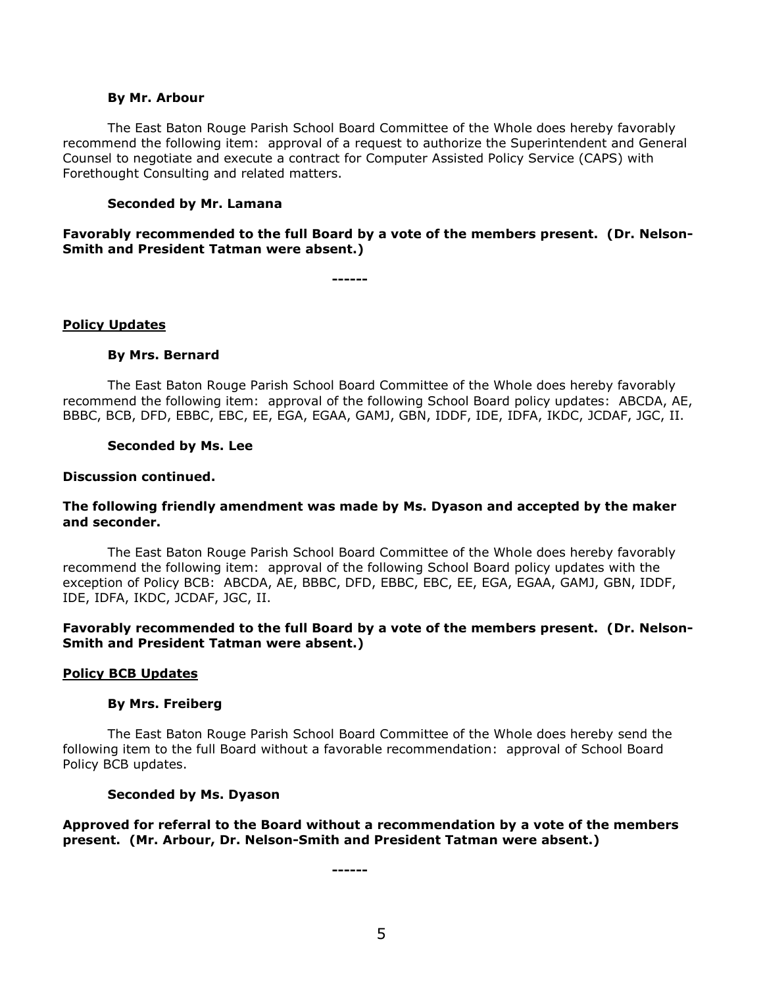#### **By Mr. Arbour**

The East Baton Rouge Parish School Board Committee of the Whole does hereby favorably recommend the following item: approval of a request to authorize the Superintendent and General Counsel to negotiate and execute a contract for Computer Assisted Policy Service (CAPS) with Forethought Consulting and related matters.

#### **Seconded by Mr. Lamana**

**Favorably recommended to the full Board by a vote of the members present. (Dr. Nelson-Smith and President Tatman were absent.)**

**------**

#### **Policy Updates**

#### **By Mrs. Bernard**

The East Baton Rouge Parish School Board Committee of the Whole does hereby favorably recommend the following item: approval of the following School Board policy updates: ABCDA, AE, BBBC, BCB, DFD, EBBC, EBC, EE, EGA, EGAA, GAMJ, GBN, IDDF, IDE, IDFA, IKDC, JCDAF, JGC, II.

#### **Seconded by Ms. Lee**

#### **Discussion continued.**

#### **The following friendly amendment was made by Ms. Dyason and accepted by the maker and seconder.**

The East Baton Rouge Parish School Board Committee of the Whole does hereby favorably recommend the following item: approval of the following School Board policy updates with the exception of Policy BCB: ABCDA, AE, BBBC, DFD, EBBC, EBC, EE, EGA, EGAA, GAMJ, GBN, IDDF, IDE, IDFA, IKDC, JCDAF, JGC, II.

#### **Favorably recommended to the full Board by a vote of the members present. (Dr. Nelson-Smith and President Tatman were absent.)**

#### **Policy BCB Updates**

#### **By Mrs. Freiberg**

The East Baton Rouge Parish School Board Committee of the Whole does hereby send the following item to the full Board without a favorable recommendation: approval of School Board Policy BCB updates.

#### **Seconded by Ms. Dyason**

**Approved for referral to the Board without a recommendation by a vote of the members present. (Mr. Arbour, Dr. Nelson-Smith and President Tatman were absent.)**

**------**